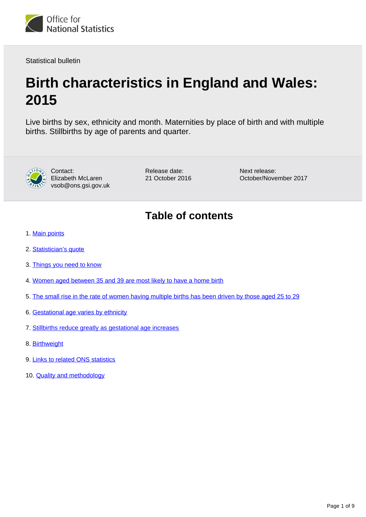

Statistical bulletin

# **Birth characteristics in England and Wales: 2015**

Live births by sex, ethnicity and month. Maternities by place of birth and with multiple births. Stillbirths by age of parents and quarter.



Contact: Elizabeth McLaren vsob@ons.gsi.gov.uk Release date: 21 October 2016 Next release: October/November 2017

# **Table of contents**

- 1. [Main points](#page-1-0)
- 2. [Statistician's quote](#page-1-1)
- 3. [Things you need to know](#page-1-2)
- 4. [Women aged between 35 and 39 are most likely to have a home birth](#page-1-3)
- 5. [The small rise in the rate of women having multiple births has been driven by those aged 25 to 29](#page-3-0)
- 6. [Gestational age varies by ethnicity](#page-5-0)
- 7. [Stillbirths reduce greatly as gestational age increases](#page-6-0)
- 8. [Birthweight](#page-6-1)
- 9. [Links to related ONS statistics](#page-7-0)
- 10. **[Quality and methodology](#page-7-1)**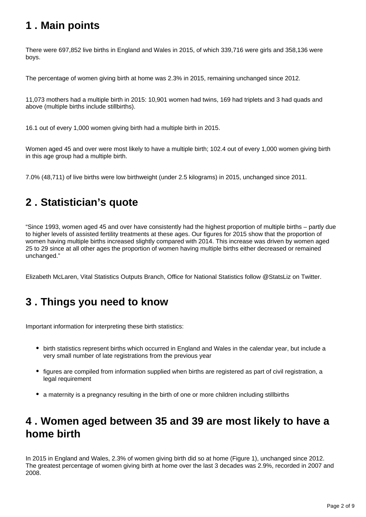# <span id="page-1-0"></span>**1 . Main points**

There were 697,852 live births in England and Wales in 2015, of which 339,716 were girls and 358,136 were boys.

The percentage of women giving birth at home was 2.3% in 2015, remaining unchanged since 2012.

11,073 mothers had a multiple birth in 2015: 10,901 women had twins, 169 had triplets and 3 had quads and above (multiple births include stillbirths).

16.1 out of every 1,000 women giving birth had a multiple birth in 2015.

Women aged 45 and over were most likely to have a multiple birth; 102.4 out of every 1,000 women giving birth in this age group had a multiple birth.

7.0% (48,711) of live births were low birthweight (under 2.5 kilograms) in 2015, unchanged since 2011.

# <span id="page-1-1"></span>**2 . Statistician's quote**

"Since 1993, women aged 45 and over have consistently had the highest proportion of multiple births – partly due to higher levels of assisted fertility treatments at these ages. Our figures for 2015 show that the proportion of women having multiple births increased slightly compared with 2014. This increase was driven by women aged 25 to 29 since at all other ages the proportion of women having multiple births either decreased or remained unchanged."

Elizabeth McLaren, Vital Statistics Outputs Branch, Office for National Statistics follow @StatsLiz on Twitter.

# <span id="page-1-2"></span>**3 . Things you need to know**

Important information for interpreting these birth statistics:

- birth statistics represent births which occurred in England and Wales in the calendar year, but include a very small number of late registrations from the previous year
- figures are compiled from information supplied when births are registered as part of civil registration, a legal requirement
- a maternity is a pregnancy resulting in the birth of one or more children including stillbirths

# <span id="page-1-3"></span>**4 . Women aged between 35 and 39 are most likely to have a home birth**

In 2015 in England and Wales, 2.3% of women giving birth did so at home (Figure 1), unchanged since 2012. The greatest percentage of women giving birth at home over the last 3 decades was 2.9%, recorded in 2007 and 2008.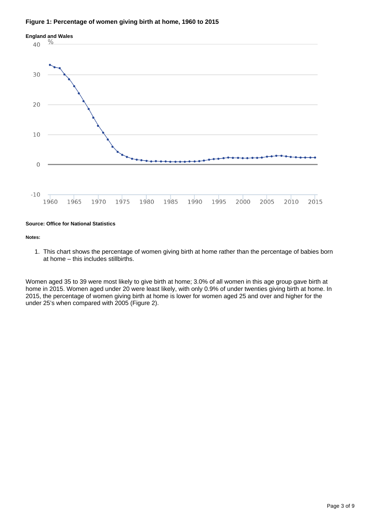### **Figure 1: Percentage of women giving birth at home, 1960 to 2015**



### **Source: Office for National Statistics**

#### **Notes:**

1. This chart shows the percentage of women giving birth at home rather than the percentage of babies born at home – this includes stillbirths.

Women aged 35 to 39 were most likely to give birth at home; 3.0% of all women in this age group gave birth at home in 2015. Women aged under 20 were least likely, with only 0.9% of under twenties giving birth at home. In 2015, the percentage of women giving birth at home is lower for women aged 25 and over and higher for the under 25's when compared with 2005 (Figure 2).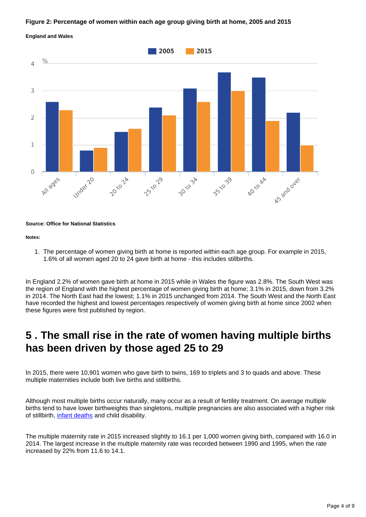### **Figure 2: Percentage of women within each age group giving birth at home, 2005 and 2015**



### **England and Wales**

#### **Source: Office for National Statistics**

#### **Notes:**

1. The percentage of women giving birth at home is reported within each age group. For example in 2015, 1.6% of all women aged 20 to 24 gave birth at home - this includes stillbirths.

In England 2.2% of women gave birth at home in 2015 while in Wales the figure was 2.8%. The South West was the region of England with the highest percentage of women giving birth at home; 3.1% in 2015, down from 3.2% in 2014. The North East had the lowest; 1.1% in 2015 unchanged from 2014. The South West and the North East have recorded the highest and lowest percentages respectively of women giving birth at home since 2002 when these figures were first published by region.

### <span id="page-3-0"></span>**5 . The small rise in the rate of women having multiple births has been driven by those aged 25 to 29**

In 2015, there were 10,901 women who gave birth to twins, 169 to triplets and 3 to quads and above. These multiple maternities include both live births and stillbirths.

Although most multiple births occur naturally, many occur as a result of fertility treatment. On average multiple births tend to have lower birthweights than singletons, multiple pregnancies are also associated with a higher risk of stillbirth, *infant deaths* and child disability.

The multiple maternity rate in 2015 increased slightly to 16.1 per 1,000 women giving birth, compared with 16.0 in 2014. The largest increase in the multiple maternity rate was recorded between 1990 and 1995, when the rate increased by 22% from 11.6 to 14.1.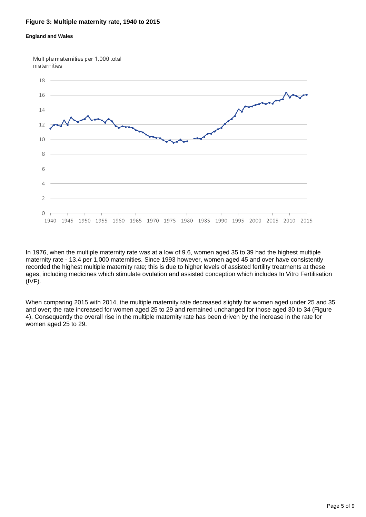### **Figure 3: Multiple maternity rate, 1940 to 2015**

### **England and Wales**

Multiple maternities per 1,000 total maternities



In 1976, when the multiple maternity rate was at a low of 9.6, women aged 35 to 39 had the highest multiple maternity rate - 13.4 per 1,000 maternities. Since 1993 however, women aged 45 and over have consistently recorded the highest multiple maternity rate; this is due to higher levels of assisted fertility treatments at these ages, including medicines which stimulate ovulation and assisted conception which includes In Vitro Fertilisation (IVF).

When comparing 2015 with 2014, the multiple maternity rate decreased slightly for women aged under 25 and 35 and over; the rate increased for women aged 25 to 29 and remained unchanged for those aged 30 to 34 (Figure 4). Consequently the overall rise in the multiple maternity rate has been driven by the increase in the rate for women aged 25 to 29.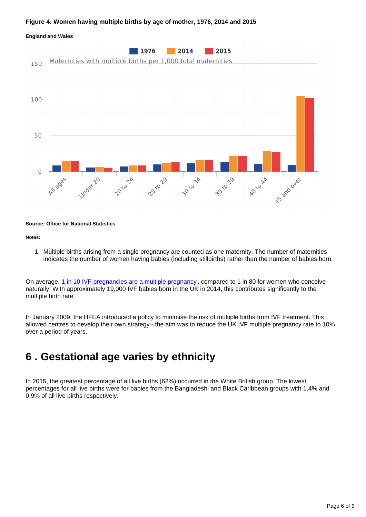### **Figure 4: Women having multiple births by age of mother, 1976, 2014 and 2015**



#### **Source: Office for National Statistics**

#### **Notes:**

1. Multiple births arising from a single pregnancy are counted as one maternity. The number of maternities indicates the number of women having babies (including stillbirths) rather than the number of babies born.

On average, [1 in 10 IVF pregnancies are a multiple pregnancy](http://www.hfea.gov.uk/docs/HFEA_Fertility_treatment_Trends_and_figures_2014.pdf), compared to 1 in 80 for women who conceive naturally. With approximately 19,000 IVF babies born in the UK in 2014, this contributes significantly to the multiple birth rate.

In January 2009, the HFEA introduced a policy to minimise the risk of multiple births from IVF treatment. This allowed centres to develop their own strategy - the aim was to reduce the UK IVF multiple pregnancy rate to 10% over a period of years.

## <span id="page-5-0"></span>**6 . Gestational age varies by ethnicity**

In 2015, the greatest percentage of all live births (62%) occurred in the White British group. The lowest percentages for all live births were for babies from the Bangladeshi and Black Caribbean groups with 1.4% and 0.9% of all live births respectively.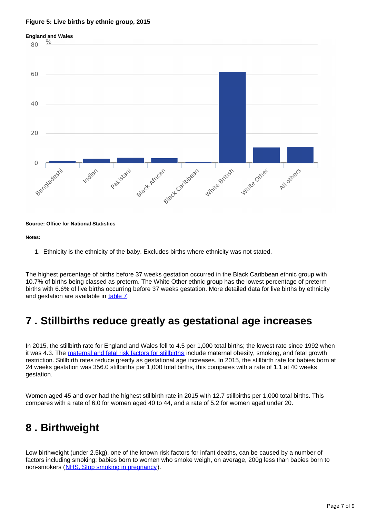### **Figure 5: Live births by ethnic group, 2015**



#### **Source: Office for National Statistics**

#### **Notes:**

1. Ethnicity is the ethnicity of the baby. Excludes births where ethnicity was not stated.

The highest percentage of births before 37 weeks gestation occurred in the Black Caribbean ethnic group with 10.7% of births being classed as preterm. The White Other ethnic group has the lowest percentage of preterm births with 6.6% of live births occurring before 37 weeks gestation. More detailed data for live births by ethnicity and gestation are available in [table 7.](https://www.ons.gov.uk/peoplepopulationandcommunity/birthsdeathsandmarriages/livebirths/datasets/birthcharacteristicsinenglandandwales)

## <span id="page-6-0"></span>**7 . Stillbirths reduce greatly as gestational age increases**

In 2015, the stillbirth rate for England and Wales fell to 4.5 per 1,000 total births; the lowest rate since 1992 when it was 4.3. The [maternal and fetal risk factors for stillbirths](http://www.bmj.com/content/346/bmj.f108) include maternal obesity, smoking, and fetal growth restriction. Stillbirth rates reduce greatly as gestational age increases. In 2015, the stillbirth rate for babies born at 24 weeks gestation was 356.0 stillbirths per 1,000 total births, this compares with a rate of 1.1 at 40 weeks gestation.

Women aged 45 and over had the highest stillbirth rate in 2015 with 12.7 stillbirths per 1,000 total births. This compares with a rate of 6.0 for women aged 40 to 44, and a rate of 5.2 for women aged under 20.

## <span id="page-6-1"></span>**8 . Birthweight**

Low birthweight (under 2.5kg), one of the known risk factors for infant deaths, can be caused by a number of factors including smoking; babies born to women who smoke weigh, on average, 200g less than babies born to non-smokers ([NHS, Stop smoking in pregnancy](http://www.nhs.uk/chq/Pages/2023.aspx?CategoryID=53)).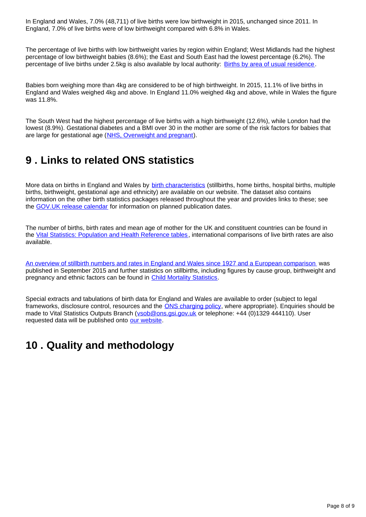In England and Wales, 7.0% (48,711) of live births were low birthweight in 2015, unchanged since 2011. In England, 7.0% of live births were of low birthweight compared with 6.8% in Wales.

The percentage of live births with low birthweight varies by region within England; West Midlands had the highest percentage of low birthweight babies (8.6%); the East and South East had the lowest percentage (6.2%). The percentage of live births under 2.5kg is also available by local authority: [Births by area of usual residence](http://www.ons.gov.uk/peoplepopulationandcommunity/birthsdeathsandmarriages/livebirths/datasets/birthsbyareaofusualresidenceofmotheruk).

Babies born weighing more than 4kg are considered to be of high birthweight. In 2015, 11.1% of live births in England and Wales weighed 4kg and above. In England 11.0% weighed 4kg and above, while in Wales the figure was 11.8%.

The South West had the highest percentage of live births with a high birthweight (12.6%), while London had the lowest (8.9%). Gestational diabetes and a BMI over 30 in the mother are some of the risk factors for babies that are large for gestational age ([NHS, Overweight and pregnant\)](http://www.nhs.uk/conditions/pregnancy-and-baby/pages/overweight-pregnant.aspx).

# <span id="page-7-0"></span>**9 . Links to related ONS statistics**

More data on births in England and Wales by [birth characteristics](https://www.ons.gov.uk/peoplepopulationandcommunity/birthsdeathsandmarriages/livebirths/datasets/birthcharacteristicsinenglandandwales) (stillbirths, home births, hospital births, multiple births, birthweight, gestational age and ethnicity) are available on our website. The dataset also contains information on the other birth statistics packages released throughout the year and provides links to these; see the [GOV.UK release calendar](https://www.gov.uk/government/statistics/announcements) for information on planned publication dates.

The number of births, birth rates and mean age of mother for the UK and constituent countries can be found in the [Vital Statistics: Population and Health Reference tables](http://www.ons.gov.uk/peoplepopulationandcommunity/populationandmigration/populationestimates/datasets/vitalstatisticspopulationandhealthreferencetables), international comparisons of live birth rates are also available.

[An overview of stillbirth numbers and rates in England and Wales since 1927 and a European comparison](http://webarchive.nationalarchives.gov.uk/20160105160709/http:/www.ons.gov.uk/ons/rel/vsob1/characteristics-of-birth-1--england-and-wales/2013/sty-cb1-2013.html) was published in September 2015 and further statistics on stillbirths, including figures by cause group, birthweight and pregnancy and ethnic factors can be found in [Child Mortality Statistics](http://www.ons.gov.uk/peoplepopulationandcommunity/birthsdeathsandmarriages/deaths/bulletins/childhoodinfantandperinatalmortalityinenglandandwales/previousReleases).

Special extracts and tabulations of birth data for England and Wales are available to order (subject to legal frameworks, disclosure control, resources and the **ONS** charging policy, where appropriate). Enquiries should be made to Vital Statistics Outputs Branch (vsob@ons.gsi.gov.uk or telephone: +44 (0)1329 444110). User requested data will be published onto [our website.](http://www.ons.gov.uk/peoplepopulationandcommunity/birthsdeathsandmarriages/livebirths/datalist?sortBy=release_date&filter=user_requested_data)

# <span id="page-7-1"></span>**10 . Quality and methodology**